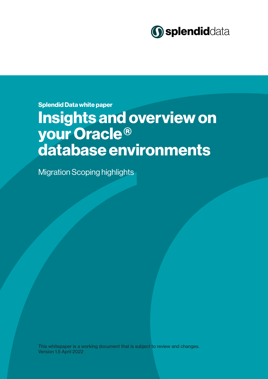

Splendid Data white paper

# Insights and overview on your Oracle ® database environments

Migration Scoping highlights

This whitepaper is a working document that is subject to review and changes. Version 1.5 April 2022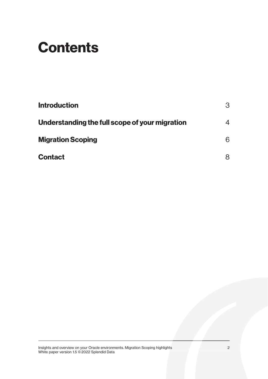# **Contents**

| <b>Introduction</b>                            | 3 |
|------------------------------------------------|---|
| Understanding the full scope of your migration | 4 |
| <b>Migration Scoping</b>                       | 6 |
| <b>Contact</b>                                 | 8 |

Insights and overview on your Oracle environments. Migration Scoping highlights 2 White paper version 1.5 © 2022 Splendid Data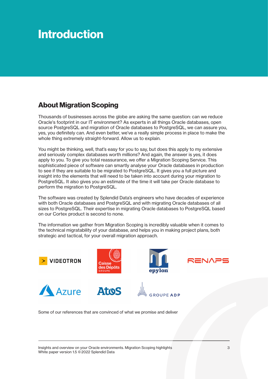## Introduction

### About Migration Scoping

Thousands of businesses across the globe are asking the same question: can we reduce Oracle's footprint in our IT environment? As experts in all things Oracle databases, open source PostgreSQL and migration of Oracle databases to PostgreSQL, we can assure you, yes, you definitely can. And even better, we've a really simple process in place to make the whole thing extremely straight-forward. Allow us to explain.

You might be thinking, well, that's easy for you to say, but does this apply to my extensive and seriously complex databases worth millions? And again, the answer is yes, it does apply to you. To give you total reassurance, we offer a Migration Scoping Service. This sophisticated piece of software can smartly analyse your Oracle databases in production to see if they are suitable to be migrated to PostgreSQL. It gives you a full picture and insight into the elements that will need to be taken into account during your migration to PostgreSQL. It also gives you an estimate of the time it will take per Oracle database to perform the migration to PostgreSQL.

The software was created by Splendid Data's engineers who have decades of experience with both Oracle databases and PostgreSQL and with migrating Oracle databases of all sizes to PostgreSQL. Their expertise in migrating Oracle databases to PostgreSQL based on our Cortex product is second to none.

The information we gather from Migration Scoping is incredibly valuable when it comes to the technical migratability of your database, and helps you in making project plans, both strategic and tactical, for your overall migration approach.



Some of our references that are convinced of what we promise and deliver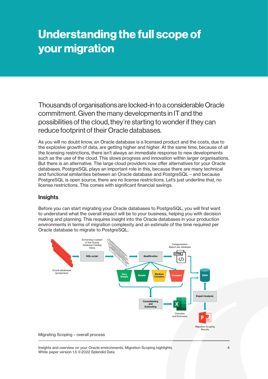## Understanding the full scope of your migration

Thousands of organisations are locked-in to a considerable Oracle commitment. Given the many developments in IT and the possibilities of the cloud, they're starting to wonder if they can reduce footprint of their Oracle databases.

As you will no doubt know, an Oracle database is a licensed product and the costs, due to the explosive growth of data, are getting higher and higher. At the same time, because of all the licensing restrictions, there isn't always an immediate response to new developments such as the use of the cloud. This slows progress and innovation within larger organisations. But there is an alternative. The large cloud providers now offer alternatives for your Oracle databases. PostgreSQL plays an important role in this, because there are many technical and functional similarities between an Oracle database and PostgreSQL – and because PostgreSQL is open source, there are no license restrictions. Let's just underline that, no license restrictions. This comes with significant financial savings.

#### **Insights**

Before you can start migrating your Oracle databases to PostgreSQL, you will first want to understand what the overall impact will be to your business, helping you with decision making and planning. This requires insight into the Oracle databases in your production environments in terms of migration complexity and an estimate of the time required per Oracle database to migrate to PostgreSQL.



Insights and overview on your Oracle environments. Migration Scoping highlights 4 White paper version 1.5 © 2022 Splendid Data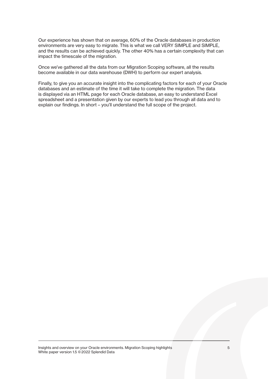Our experience has shown that on average, 60% of the Oracle databases in production environments are very easy to migrate. This is what we call VERY SIMPLE and SIMPLE, and the results can be achieved quickly. The other 40% has a certain complexity that can impact the timescale of the migration.

Once we've gathered all the data from our Migration Scoping software, all the results become available in our data warehouse (DWH) to perform our expert analysis.

Finally, to give you an accurate insight into the complicating factors for each of your Oracle databases and an estimate of the time it will take to complete the migration. The data is displayed via an HTML page for each Oracle database, an easy to understand Excel spreadsheet and a presentation given by our experts to lead you through all data and to explain our findings. In short – you'll understand the full scope of the project.

Insights and overview on your Oracle environments. Migration Scoping highlights 5 White paper version 1.5 © 2022 Splendid Data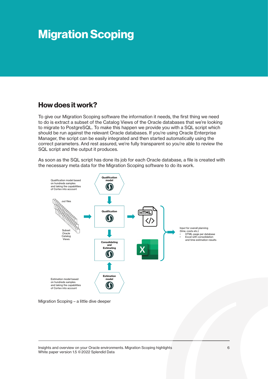## Migration Scoping

### How does it work?

To give our Migration Scoping software the information it needs, the first thing we need to do is extract a subset of the Catalog Views of the Oracle databases that we're looking to migrate to PostgreSQL. To make this happen we provide you with a SQL script which should be run against the relevant Oracle databases. If you're using Oracle Enterprise Manager, the script can be easily integrated and then started automatically using the correct parameters. And rest assured, we're fully transparent so you're able to review the SQL script and the output it produces.

As soon as the SQL script has done its job for each Oracle database, a file is created with the necessary meta data for the Migration Scoping software to do its work.



Migration Scoping – a little dive deeper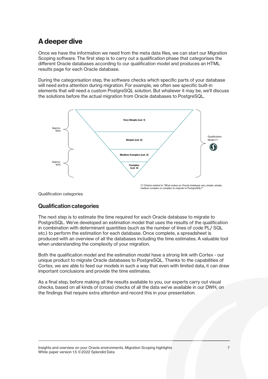## A deeper dive

Once we have the information we need from the meta data files, we can start our Migration Scoping software. The first step is to carry out a qualification phase that categorises the different Oracle databases according to our qualification model and produces an HTML results page for each Oracle database.

During the categorisation step, the software checks which specific parts of your database will need extra attention during migration. For example, we often see specific built-in elements that will need a custom PostgreSQL solution. But whatever it may be, we'll discuss the solutions before the actual migration from Oracle databases to PostgreSQL.



Qualification categories

#### **Qualification categories**

The next step is to estimate the time required for each Oracle database to migrate to PostgreSQL. We've developed an estimation model that uses the results of the qualification in combination with determinant quantities (such as the number of lines of code PL/ SQL etc.) to perform the estimation for each database. Once complete, a spreadsheet is produced with an overview of all the databases including the time estimates. A valuable tool when understanding the complexity of your migration.

Both the qualification model and the estimation model have a strong link with Cortex - our unique product to migrate Oracle databases to PostgreSQL. Thanks to the capabilities of Cortex, we are able to feed our models in such a way that even with limited data, it can draw important conclusions and provide the time estimates.

As a final step, before making all the results available to you, our experts carry out visual checks, based on all kinds of (cross) checks of all the data we've available in our DWH, on the findings that require extra attention and record this in your presentation.

Insights and overview on your Oracle environments. Migration Scoping highlights 7 1999 1999 1999 1999 1999 199 White paper version 1.5 © 2022 Splendid Data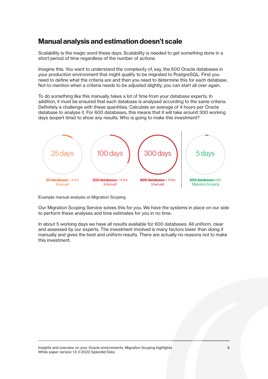### Manual analysis and estimation doesn't scale

Scalability is the magic word these days. Scalability is needed to get something done in a short period of time regardless of the number of actions.

Imagine this. You want to understand the complexity of, say, the 600 Oracle databases in your production environment that might qualify to be migrated to PostgreSQL. First you need to define what the criteria are and then you need to determine this for each database. Not to mention when a criteria needs to be adjusted slightly, you can start all over again.

To do something like this manually takes a lot of time from your database experts. In addition, it must be ensured that each database is analysed according to the same criteria. Definitely a challenge with these quantities. Calculate an average of 4 hours per Oracle database to analyse it. For 600 databases, this means that it will take around 300 working days (expert time) to show any results. Who is going to make this investment?



Example manual analysis vs Migration Scoping

Our Migration Scoping Service solves this for you. We have the systems in place on our side to perform these analyses and time estimates for you in no time.

In about 5 working days we have all results available for 600 databases. All uniform, clear and assessed by our experts. The investment involved is many factors lower than doing it manually and gives the best and uniform results. There are actually no reasons not to make this investment.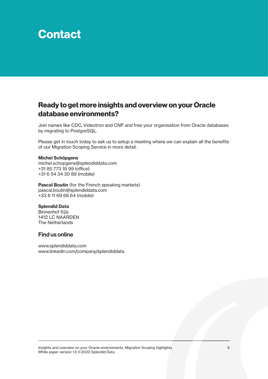## **Contact**

### Ready to get more insights and overview on your Oracle database environments?

Join names like CDC, Videotron and CNP and free your organisation from Oracle databases by migrating to PostgreSQL.

Please get in touch today to ask us to setup a meeting where we can explain all the benefits of our Migration Scoping Service in more detail.

#### Michel Schöpgens

michel.schopgens@splendiddata.com +31 85 773 19 99 (office) +31 6 54 34 30 89 (mobile)

Pascal Boutin (for the French speaking markets) pascal.boutin@splendiddata.com +33 6 11 69 68 64 (mobile)

#### Splendid Data

Binnenhof 62a 1412 LC NAARDEN The Netherlands

#### Find us online

www.splendiddata.com www.linkedin.com/company/splendiddata